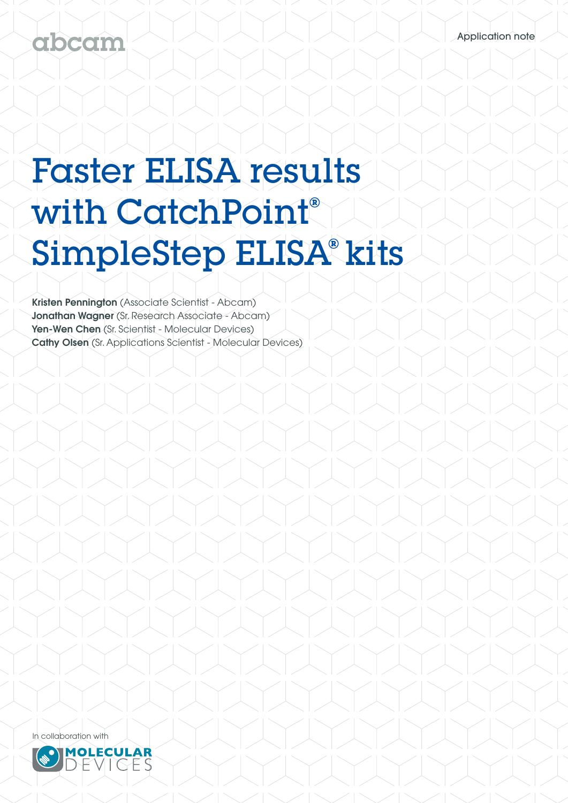## abcam

# Faster ELISA results with CatchPoint**®** SimpleStep ELISA**®** kits

Kristen Pennington (Associate Scientist - Abcam) Jonathan Wagner (Sr. Research Associate - Abcam) Yen-Wen Chen (Sr. Scientist - Molecular Devices) Cathy Olsen (Sr. Applications Scientist - Molecular Devices)



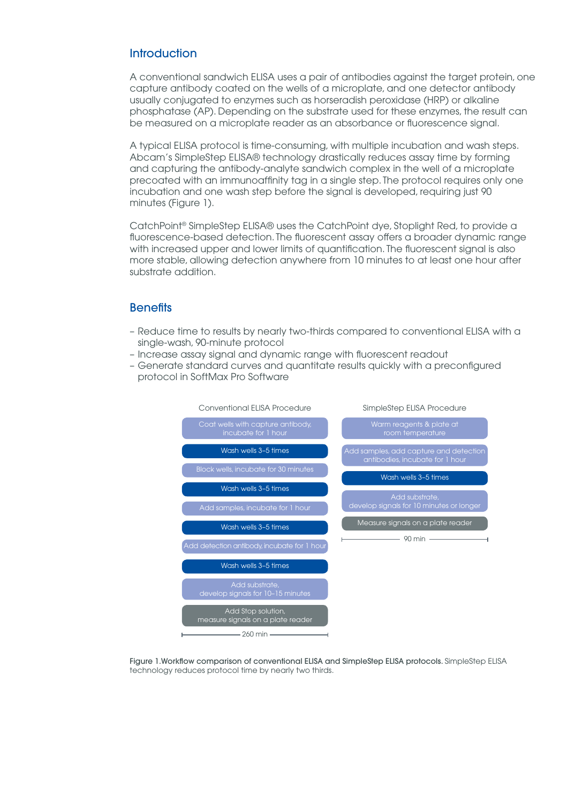#### **Introduction**

A conventional sandwich ELISA uses a pair of antibodies against the target protein, one capture antibody coated on the wells of a microplate, and one detector antibody usually conjugated to enzymes such as horseradish peroxidase (HRP) or alkaline phosphatase (AP). Depending on the substrate used for these enzymes, the result can be measured on a microplate reader as an absorbance or fluorescence signal.

A typical ELISA protocol is time-consuming, with multiple incubation and wash steps. Abcam's SimpleStep ELISA® technology drastically reduces assay time by forming and capturing the antibody-analyte sandwich complex in the well of a microplate precoated with an immunoaffinity tag in a single step. The protocol requires only one incubation and one wash step before the signal is developed, requiring just 90 minutes (Figure 1).

CatchPoint® SimpleStep ELISA® uses the CatchPoint dye, Stoplight Red, to provide a fluorescence-based detection. The fluorescent assay offers a broader dynamic range with increased upper and lower limits of quantification. The fluorescent signal is also more stable, allowing detection anywhere from 10 minutes to at least one hour after substrate addition.

#### **Benefits**

- Reduce time to results by nearly two-thirds compared to conventional ELISA with a single-wash, 90-minute protocol
- Increase assay signal and dynamic range with fluorescent readout
- Generate standard curves and quantitate results quickly with a preconfigured protocol in SoftMax Pro Software



Figure 1.Workflow comparison of conventional ELISA and SimpleStep ELISA protocols. SimpleStep ELISA technology reduces protocol time by nearly two thirds.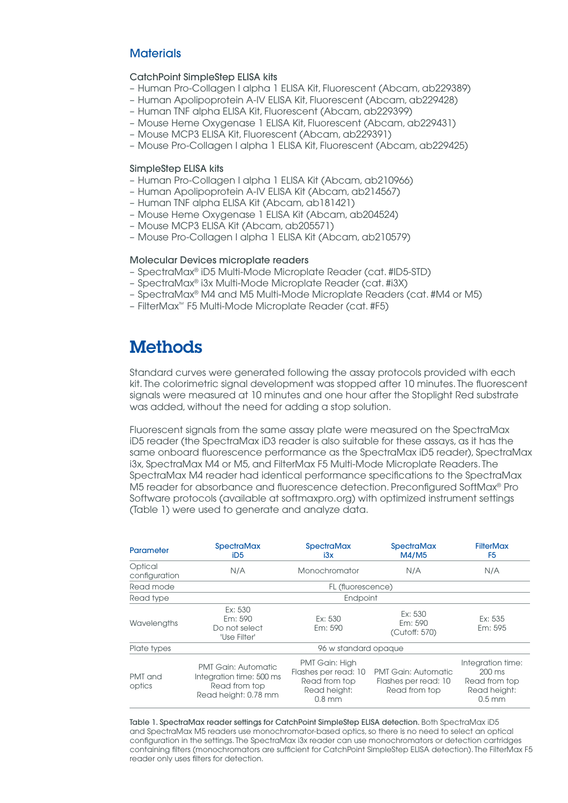#### **Materials**

#### CatchPoint SimpleStep ELISA kits

- Human Pro-Collagen I alpha 1 ELISA Kit, Fluorescent (Abcam, ab229389)
- Human Apolipoprotein A-IV ELISA Kit, Fluorescent (Abcam, ab229428)
- Human TNF alpha ELISA Kit, Fluorescent (Abcam, ab229399)
- Mouse Heme Oxygenase 1 ELISA Kit, Fluorescent (Abcam, ab229431)
- Mouse MCP3 ELISA Kit, Fluorescent (Abcam, ab229391)
- Mouse Pro-Collagen I alpha 1 ELISA Kit, Fluorescent (Abcam, ab229425)

#### SimpleStep ELISA kits

- Human Pro-Collagen I alpha 1 ELISA Kit (Abcam, ab210966)
- Human Apolipoprotein A-IV ELISA Kit (Abcam, ab214567)
- Human TNF alpha ELISA Kit (Abcam, ab181421)
- Mouse Heme Oxygenase 1 ELISA Kit (Abcam, ab204524)
- Mouse MCP3 ELISA Kit (Abcam, ab205571)
- Mouse Pro-Collagen I alpha 1 ELISA Kit (Abcam, ab210579)

#### Molecular Devices microplate readers

- SpectraMax® iD5 Multi-Mode Microplate Reader (cat. #ID5-STD)
- SpectraMax® i3x Multi-Mode Microplate Reader (cat. #i3X)
- SpectraMax® M4 and M5 Multi-Mode Microplate Readers (cat. #M4 or M5)
- FilterMax™ F5 Multi-Mode Microplate Reader (cat. #F5)

### **Methods**

Standard curves were generated following the assay protocols provided with each kit. The colorimetric signal development was stopped after 10 minutes. The fluorescent signals were measured at 10 minutes and one hour after the Stoplight Red substrate was added, without the need for adding a stop solution.

Fluorescent signals from the same assay plate were measured on the SpectraMax iD5 reader (the SpectraMax iD3 reader is also suitable for these assays, as it has the same onboard fluorescence performance as the SpectraMax iD5 reader), SpectraMax i3x, SpectraMax M4 or M5, and FilterMax F5 Multi-Mode Microplate Readers. The SpectraMax M4 reader had identical performance specifications to the SpectraMax M5 reader for absorbance and fluorescence detection. Preconfigured SoftMax® Pro Software protocols (available at softmaxpro.org) with optimized instrument settings (Table 1) were used to generate and analyze data.

| Parameter                | <b>SpectraMax</b><br>iD <sub>5</sub>                                                            | <b>SpectraMax</b><br>i3x                                                            | <b>SpectraMax</b><br>M4/M5                                          | <b>FilterMax</b><br>F <sub>5</sub>                                                 |
|--------------------------|-------------------------------------------------------------------------------------------------|-------------------------------------------------------------------------------------|---------------------------------------------------------------------|------------------------------------------------------------------------------------|
| Optical<br>configuration | N/A                                                                                             | Monochromator                                                                       | N/A                                                                 | N/A                                                                                |
| Read mode                | FL (fluorescence)                                                                               |                                                                                     |                                                                     |                                                                                    |
| Read type                | Endpoint                                                                                        |                                                                                     |                                                                     |                                                                                    |
| Wavelengths              | Ex: 530<br>Em: 590<br>Do not select<br>'Use Filter'                                             | Ex: 530<br>Em: 590                                                                  | Ex: 530<br>Em: 590<br>(Cutoff: 570)                                 | Ex: 535<br>Em: 595                                                                 |
| Plate types              | 96 w standard opaque                                                                            |                                                                                     |                                                                     |                                                                                    |
| PMT and<br>optics        | <b>PMT Gain: Automatic</b><br>Integration time: 500 ms<br>Read from top<br>Read height: 0.78 mm | PMT Gain: High<br>Flashes per read: 10<br>Read from top<br>Read height:<br>$0.8$ mm | <b>PMT Gain: Automatic</b><br>Flashes per read: 10<br>Read from top | Integration time:<br>$200 \text{ ms}$<br>Read from top<br>Read height:<br>$0.5$ mm |

Table 1. SpectraMax reader settings for CatchPoint SimpleStep ELISA detection. Both SpectraMax iD5 and SpectraMax M5 readers use monochromator-based optics, so there is no need to select an optical configuration in the settings. The SpectraMax i3x reader can use monochromators or detection cartridges containing filters (monochromators are sufficient for CatchPoint SimpleStep ELISA detection). The FilterMax F5 reader only uses filters for detection.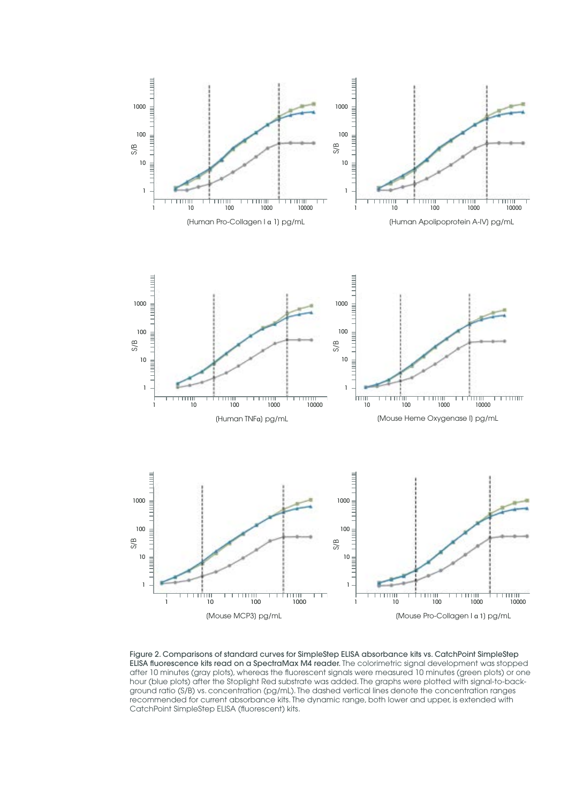

Figure 2. Comparisons of standard curves for SimpleStep ELISA absorbance kits vs. CatchPoint SimpleStep ELISA fluorescence kits read on a SpectraMax M4 reader. The colorimetric signal development was stopped after 10 minutes (gray plots), whereas the fluorescent signals were measured 10 minutes (green plots) or one hour (blue plots) after the Stoplight Red substrate was added. The graphs were plotted with signal-to-background ratio (S/B) vs. concentration (pg/mL). The dashed vertical lines denote the concentration ranges recommended for current absorbance kits. The dynamic range, both lower and upper, is extended with CatchPoint SimpleStep ELISA (fluorescent) kits.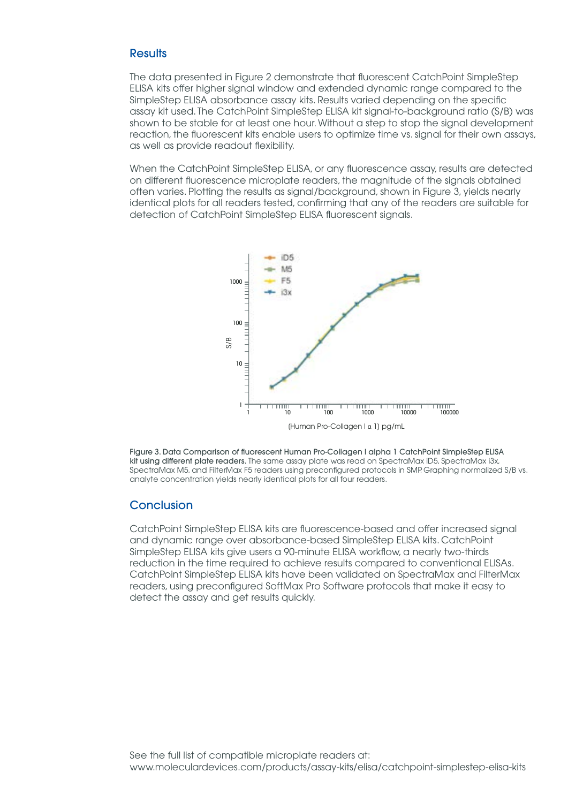#### **Results**

The data presented in Figure 2 demonstrate that fluorescent CatchPoint SimpleStep ELISA kits offer higher signal window and extended dynamic range compared to the SimpleStep ELISA absorbance assay kits. Results varied depending on the specific assay kit used. The CatchPoint SimpleStep ELISA kit signal-to-background ratio (S/B) was shown to be stable for at least one hour. Without a step to stop the signal development reaction, the fluorescent kits enable users to optimize time vs. signal for their own assays, as well as provide readout flexibility.

When the CatchPoint SimpleStep ELISA, or any fluorescence assay, results are detected on different fluorescence microplate readers, the magnitude of the signals obtained often varies. Plotting the results as signal/background, shown in Figure 3, yields nearly 1 1 identical plots for all readers tested, confirming that any of the readers are suitable for detection of CatchPoint SimpleStep ELISA fluorescent signals.



Figure 3. Data Comparison of fluorescent Human Pro-Collagen I alpha 1 CatchPoint SimpleStep ELISA kit using different plate readers. The same assay plate was read on SpectraMax iD5, SpectraMax i3x, SpectraMax M5, and FilterMax F5 readers using preconfigured protocols in SMP. Graphing normalized S/B vs. analyte concentration yields nearly identical plots for all four readers.

#### **Conclusion**

CatchPoint SimpleStep ELISA kits are fluorescence-based and offer increased signal and dynamic range over absorbance-based SimpleStep ELISA kits. CatchPoint SimpleStep ELISA kits give users a 90-minute ELISA workflow, a nearly two-thirds reduction in the time required to achieve results compared to conventional ELISAs. CatchPoint SimpleStep ELISA kits have been validated on SpectraMax and FilterMax readers, using preconfigured SoftMax Pro Software protocols that make it easy to detect the assay and get results quickly.